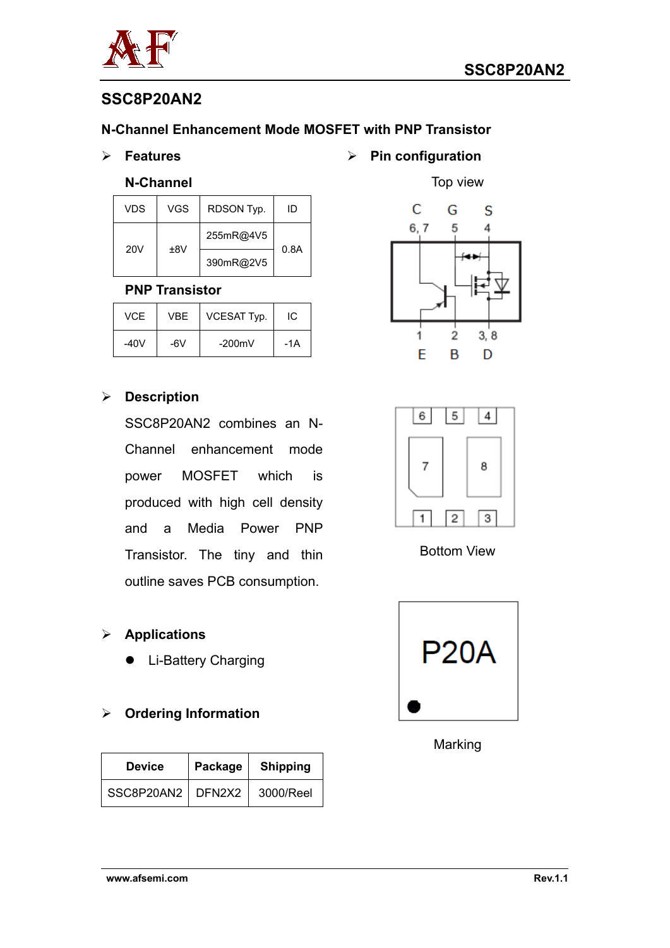



# **SSC8P20AN2**

### **N-Channel Enhancement Mode MOSFET with PNP Transistor**

**Features**

#### **N-Channel**

| <b>VDS</b> | <b>VGS</b> | RDSON Typ. | ID   |
|------------|------------|------------|------|
| <b>20V</b> | ±8V        | 255mR@4V5  | 0.8A |
|            |            | 390mR@2V5  |      |

#### **PNP Transistor**

| VCE. | VBF | <b>VCESAT Typ.</b> | IC  |
|------|-----|--------------------|-----|
| -40V | -6V | $-200$ m $V$       | -1A |

### **Description**

SSC8P20AN2 combines an N-Channel enhancement mode power MOSFET which is produced with high cell density and a Media Power PNP Transistor. The tiny and thin outline saves PCB consumption.

### **Applications**

• Li-Battery Charging

## **Ordering Information**

| <b>Device</b>       | Package | <b>Shipping</b> |  |
|---------------------|---------|-----------------|--|
| SSC8P20AN2   DFN2X2 |         | 3000/Reel       |  |

**Pin configuration**





Bottom View



Marking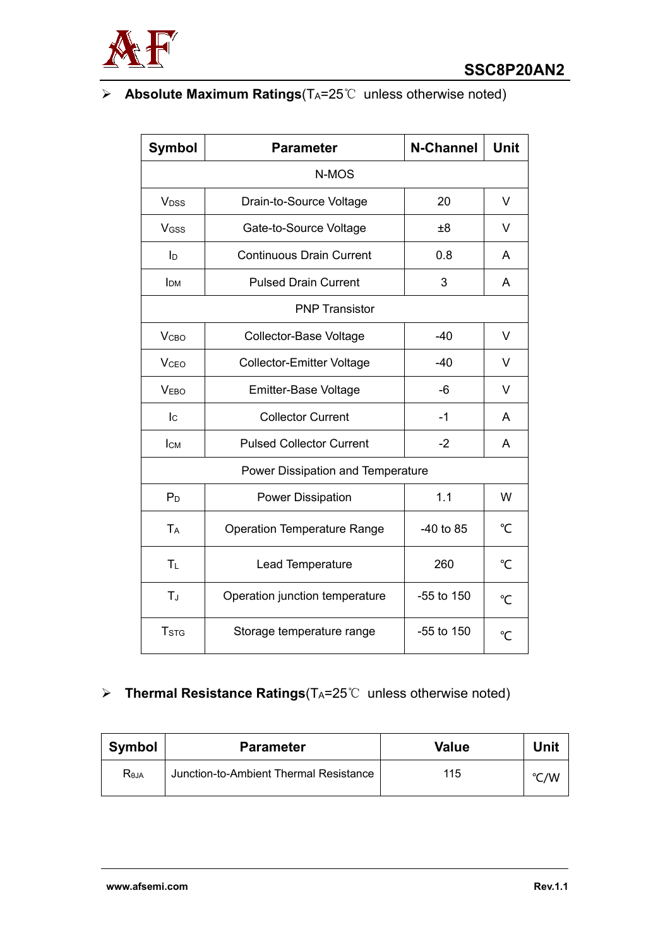

## **Absolute Maximum Ratings**(TA=25℃ unless otherwise noted)

| <b>Symbol</b>                     | <b>Parameter</b>                   | <b>N-Channel</b> | <b>Unit</b>     |  |  |
|-----------------------------------|------------------------------------|------------------|-----------------|--|--|
| N-MOS                             |                                    |                  |                 |  |  |
| <b>V</b> <sub>DSS</sub>           | Drain-to-Source Voltage            | 20               | V               |  |  |
| VGSS                              | Gate-to-Source Voltage             | $\pm 8$          | V               |  |  |
| Iр                                | <b>Continuous Drain Current</b>    | 0.8              | A               |  |  |
| <b>I</b> <sub>DM</sub>            | <b>Pulsed Drain Current</b>        | 3                | A               |  |  |
|                                   | <b>PNP Transistor</b>              |                  |                 |  |  |
| <b>V</b> <sub>CВО</sub>           | Collector-Base Voltage             | $-40$            | V               |  |  |
| <b>V</b> <sub>CEO</sub>           | <b>Collector-Emitter Voltage</b>   | $-40$            | V               |  |  |
| <b>VEBO</b>                       | <b>Emitter-Base Voltage</b>        | -6               | V               |  |  |
| $I_{\rm C}$                       | <b>Collector Current</b>           | $-1$             | A               |  |  |
| <b>I</b> <sub>CM</sub>            | <b>Pulsed Collector Current</b>    | $-2$             | A               |  |  |
| Power Dissipation and Temperature |                                    |                  |                 |  |  |
| $P_D$                             | <b>Power Dissipation</b>           | 1.1              | W               |  |  |
| <b>TA</b>                         | <b>Operation Temperature Range</b> | $-40$ to 85      | $\rm ^{\circ}C$ |  |  |
| TL                                | Lead Temperature                   | 260              | $\overline{C}$  |  |  |
| TJ                                | Operation junction temperature     | -55 to 150       | $\mathrm{C}$    |  |  |
| <b>T</b> <sub>STG</sub>           | Storage temperature range          | $-55$ to 150     | $\overline{C}$  |  |  |

# **EXEC** Thermal Resistance Ratings(T<sub>A</sub>=25℃ unless otherwise noted)

| Symbol           | <b>Value</b><br><b>Parameter</b>       |     | Unit |
|------------------|----------------------------------------|-----|------|
| R <sub>eja</sub> | Junction-to-Ambient Thermal Resistance | 115 | °C/W |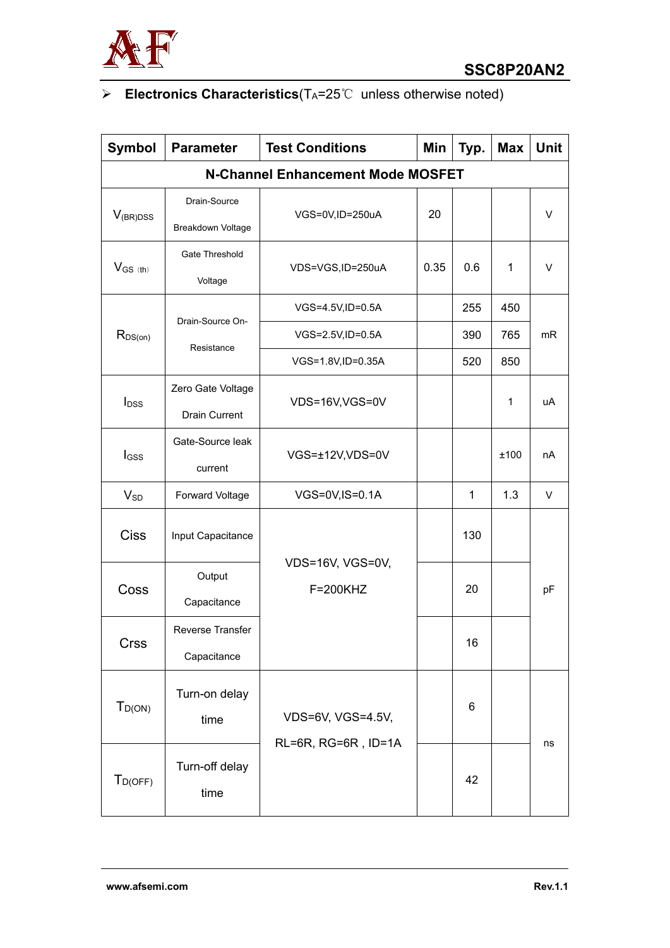

# **Electronics Characteristics**(TA=25℃ unless otherwise noted)

| <b>Symbol</b>                            | <b>Parameter</b>                          | <b>Test Conditions</b>       | Min  | Typ.         | <b>Max</b> | Unit |
|------------------------------------------|-------------------------------------------|------------------------------|------|--------------|------------|------|
| <b>N-Channel Enhancement Mode MOSFET</b> |                                           |                              |      |              |            |      |
| $V_{(BR)DSS}$                            | Drain-Source<br>Breakdown Voltage         | VGS=0V,ID=250uA              | 20   |              |            | V    |
| $V_{GS (th)}$                            | Gate Threshold<br>Voltage                 | VDS=VGS,ID=250uA             | 0.35 | 0.6          | 1          | V    |
|                                          |                                           | VGS=4.5V,ID=0.5A             |      | 255          | 450        |      |
| $R_{DS(on)}$                             | Drain-Source On-                          | VGS=2.5V,ID=0.5A             |      | 390          | 765        | mR   |
|                                          | Resistance                                | VGS=1.8V,ID=0.35A            |      | 520          | 850        |      |
| $I_{DSS}$                                | Zero Gate Voltage<br><b>Drain Current</b> | VDS=16V,VGS=0V               |      |              | 1          | uA   |
| l <sub>GSS</sub>                         | Gate-Source leak<br>current               | VGS=±12V,VDS=0V              |      |              | ±100       | nA   |
| $V_{SD}$                                 | Forward Voltage                           | VGS=0V,IS=0.1A               |      | $\mathbf{1}$ | 1.3        | V    |
| <b>Ciss</b>                              | Input Capacitance                         |                              |      | 130          |            |      |
| Coss                                     | Output<br>Capacitance                     | VDS=16V, VGS=0V,<br>F=200KHZ |      | 20           |            | pF   |
| <b>Crss</b>                              | Reverse Transfer<br>Capacitance           |                              |      | 16           |            |      |
| $T_{D(ON)}$                              | Turn-on delay<br>time                     | VDS=6V, VGS=4.5V,            |      | 6            |            |      |
| $T_{D(OFF)}$                             | Turn-off delay<br>time                    | RL=6R, RG=6R, ID=1A          |      | 42           |            | ns   |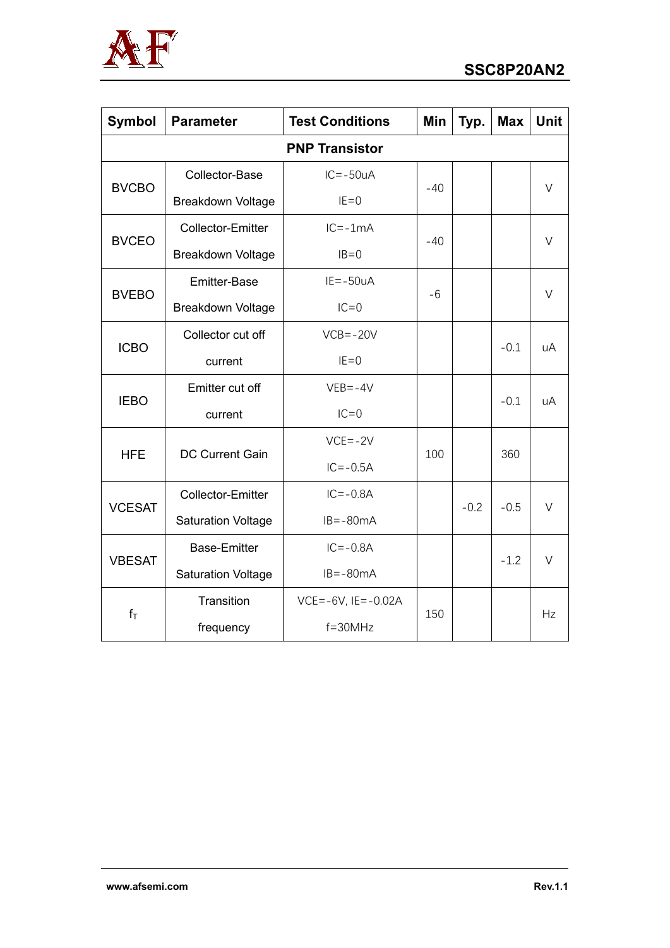

| <b>Symbol</b>         | <b>Parameter</b>          | <b>Test Conditions</b>      | <b>Min</b> | Typ.   | <b>Max</b> | <b>Unit</b> |
|-----------------------|---------------------------|-----------------------------|------------|--------|------------|-------------|
| <b>PNP Transistor</b> |                           |                             |            |        |            |             |
| <b>BVCBO</b>          | Collector-Base            | $IC = -50uA$                | $-40$      |        |            | $\vee$      |
|                       | <b>Breakdown Voltage</b>  | $IE=0$                      |            |        |            |             |
| <b>BVCEO</b>          | Collector-Emitter         | $IC = -1mA$                 | $-40$      |        |            | $\vee$      |
|                       | Breakdown Voltage         | $IB=0$                      |            |        |            |             |
| <b>BVEBO</b>          | Emitter-Base              | $IE = -50uA$                | -6         |        |            | V           |
|                       | Breakdown Voltage         | $IC=0$                      |            |        |            |             |
|                       | Collector cut off         | $VCB = -20V$                |            |        | $-0.1$     | uA          |
| <b>ICBO</b>           | current                   | $IE=0$                      |            |        |            |             |
| <b>IEBO</b>           | Emitter cut off           | $VEB = -4V$                 |            |        | $-0.1$     | uA          |
|                       | current                   | $IC = 0$                    |            |        |            |             |
| <b>HFE</b>            |                           | $VCE = -2V$                 | 100        |        | 360        |             |
|                       | <b>DC Current Gain</b>    | $IC = -0.5A$                |            |        |            |             |
| <b>VCESAT</b>         | Collector-Emitter         | $IC = -0.8A$                |            | $-0.2$ | $-0.5$     | $\vee$      |
|                       | <b>Saturation Voltage</b> | $IB = -80mA$                |            |        |            |             |
| <b>VBESAT</b>         | <b>Base-Emitter</b>       | $IC = -0.8A$                |            |        |            | $\vee$      |
|                       | <b>Saturation Voltage</b> | $IB = -80mA$                |            |        | $-1.2$     |             |
|                       | Transition                | $VCE = -6V$ , $IE = -0.02A$ |            |        |            |             |
| $f_T$                 | frequency                 | $f = 30$ MHz                | 150        |        |            | Hz          |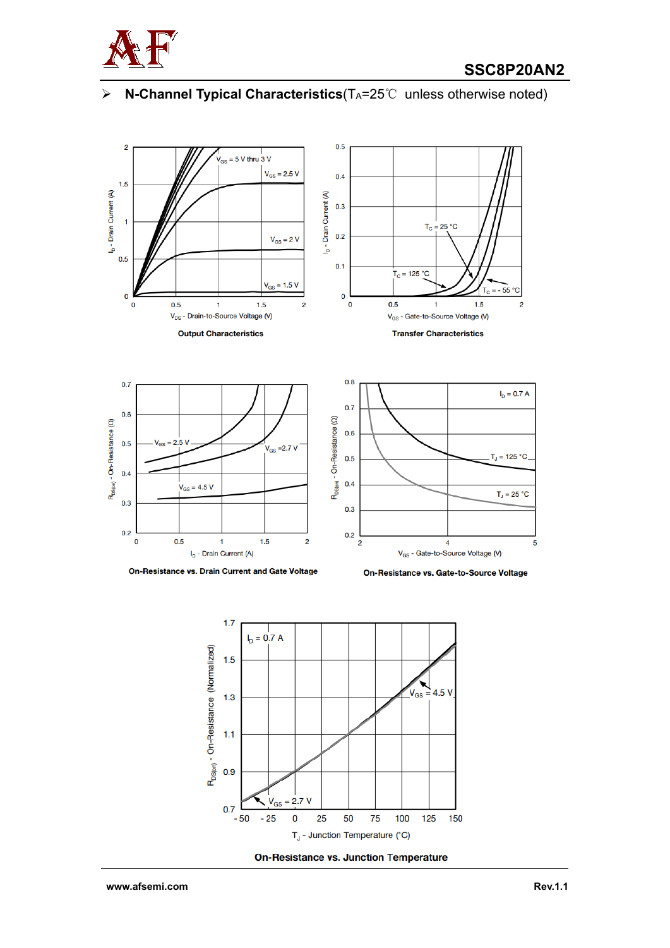

### **EXECHANNEL Typical Characteristics**(T<sub>A</sub>=25℃ unless otherwise noted)



On-Resistance vs. Drain Current and Gate Voltage

On-Resistance vs. Gate-to-Source Voltage



**On-Resistance vs. Junction Temperature**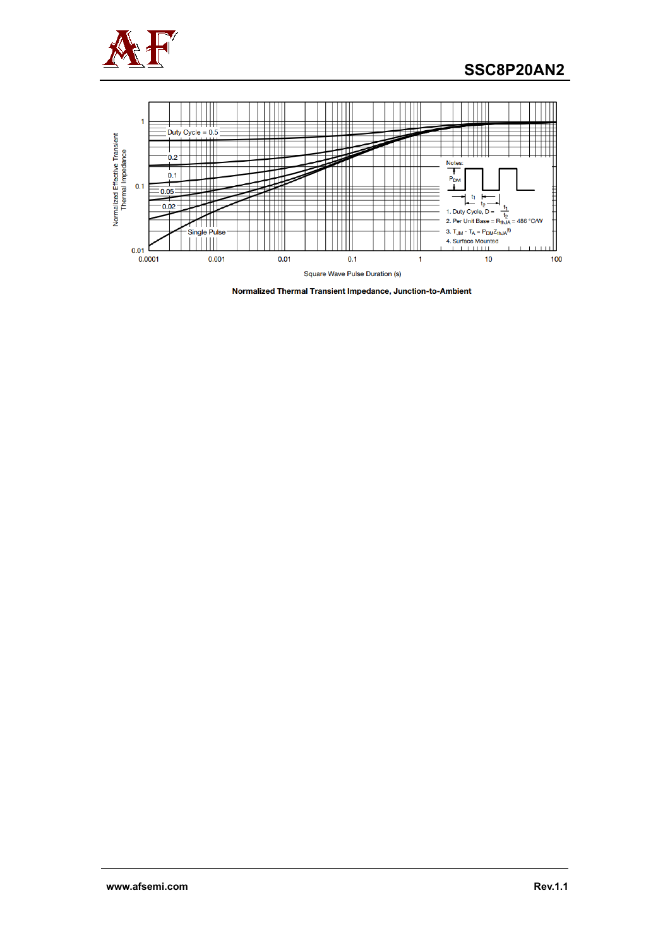

## **SSC8P20AN2**



Normalized Thermal Transient Impedance, Junction-to-Ambient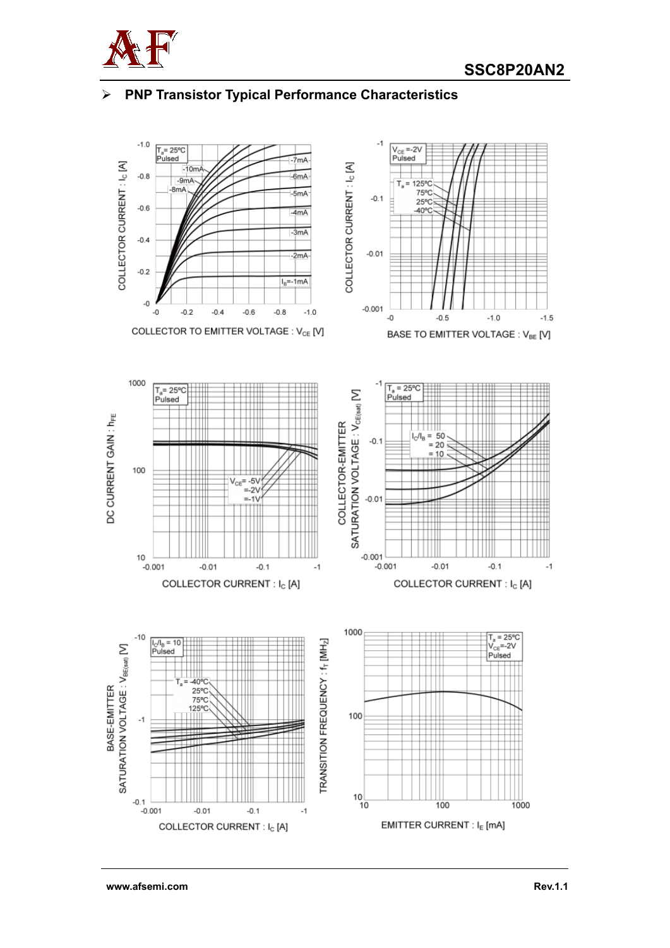

## **PNP Transistor Typical Performance Characteristics**